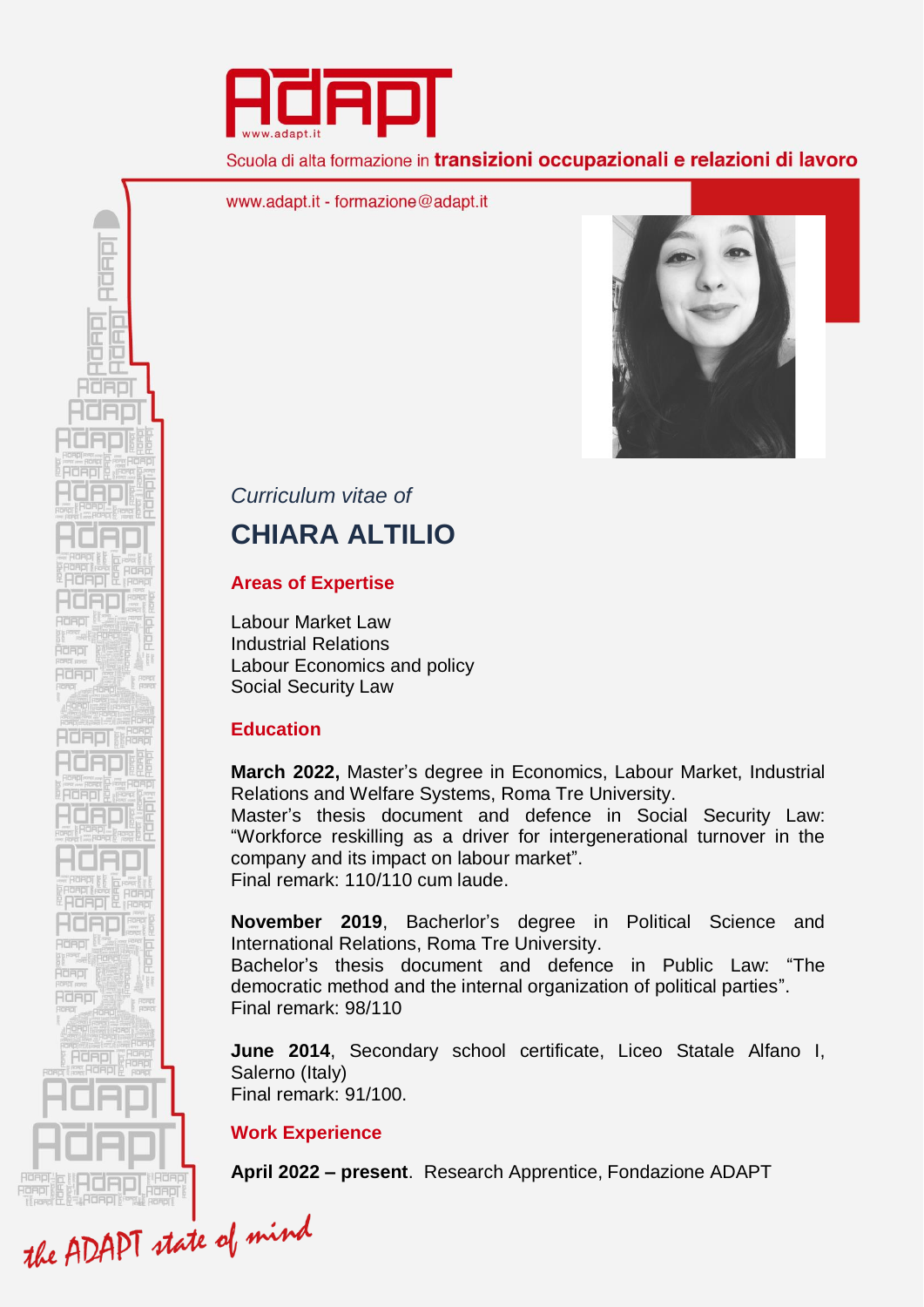

Scuola di alta formazione in transizioni occupazionali e relazioni di lavoro

www.adapt.it - formazione@adapt.it



# *Curriculum vitae of*

# **CHIARA ALTILIO**

## **Areas of Expertise**

Labour Market Law Industrial Relations Labour Economics and policy Social Security Law

# **Education**

**March 2022,** Master's degree in Economics, Labour Market, Industrial Relations and Welfare Systems, Roma Tre University.

Master's thesis document and defence in Social Security Law: "Workforce reskilling as a driver for intergenerational turnover in the company and its impact on labour market". Final remark: 110/110 cum laude.

**November 2019**, Bacherlor's degree in Political Science and International Relations, Roma Tre University.

Bachelor's thesis document and defence in Public Law: "The democratic method and the internal organization of political parties". Final remark: 98/110

**June 2014**, Secondary school certificate, Liceo Statale Alfano I, Salerno (Italy) Final remark: 91/100.

# **Work Experience**

**April 2022 – present**. Research Apprentice, Fondazione ADAPT

**READE** Řand RORDI **HdAplin** -1080 ROBOT **READE** Rdapj **Adepl** the ADAPT state of mind

RUFFI

 $\frac{\square}{\square}$ iū Œ HORD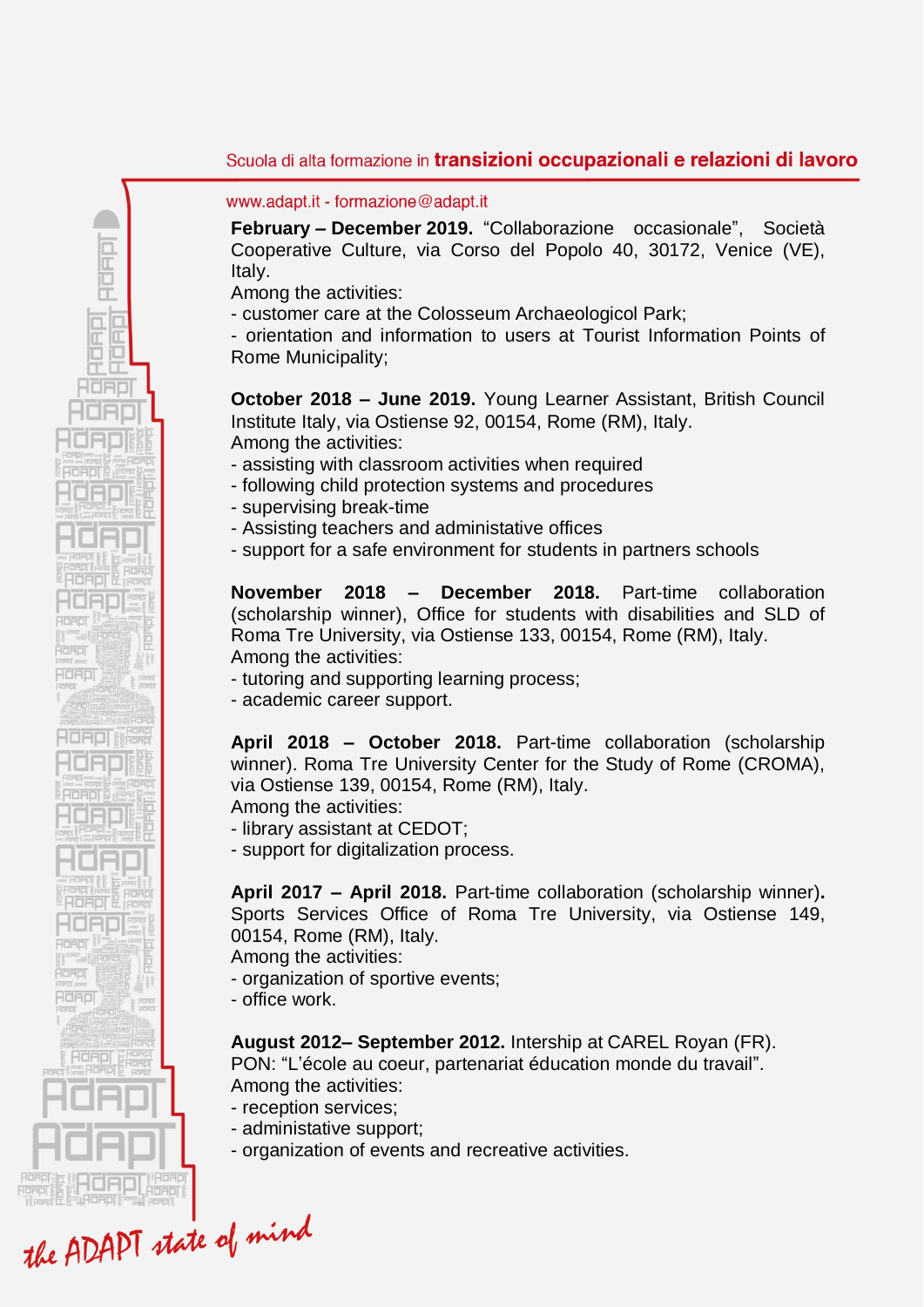#### Scuola di alta formazione in transizioni occupazionali e relazioni di lavoro

www.adapt.it - formazione@adapt.it

**February – December 2019.** "Collaborazione occasionale", Società Cooperative Culture, via Corso del Popolo 40, 30172, Venice (VE), Italy.

Among the activities:

RURIT

 $\frac{\square}{\square}$ Œ ìO Π Œ HORD

ROBOT Řand RORDI

**HdAPL&** 

2080 **ACROL ACAOL Adapi** 

**AdAp** 

- customer care at the Colosseum Archaeologicol Park;

- orientation and information to users at Tourist Information Points of Rome Municipality;

**October 2018 – June 2019.** Young Learner Assistant, British Council Institute Italy, via Ostiense 92, 00154, Rome (RM), Italy. Among the activities:

- assisting with classroom activities when required

- following child protection systems and procedures

- supervising break-time

- Assisting teachers and administative offices

- support for a safe environment for students in partners schools

**November 2018 – December 2018.** Part-time collaboration (scholarship winner), Office for students with disabilities and SLD of Roma Tre University, via Ostiense 133, 00154, Rome (RM), Italy. Among the activities:

- tutoring and supporting learning process;

- academic career support.

**April 2018 – October 2018.** Part-time collaboration (scholarship winner). Roma Tre University Center for the Study of Rome (CROMA), via Ostiense 139, 00154, Rome (RM), Italy.

Among the activities:

- library assistant at CEDOT;

- support for digitalization process.

**April 2017 – April 2018.** Part-time collaboration (scholarship winner)**.**  Sports Services Office of Roma Tre University, via Ostiense 149, 00154, Rome (RM), Italy.

Among the activities:

- organization of sportive events;

- office work.

**August 2012– September 2012.** Intership at CAREL Royan (FR).

PON: "L'école au coeur, partenariat éducation monde du travail". Among the activities:

- reception services;
- administative support;
- organization of events and recreative activities.

the ADAPT state of mind